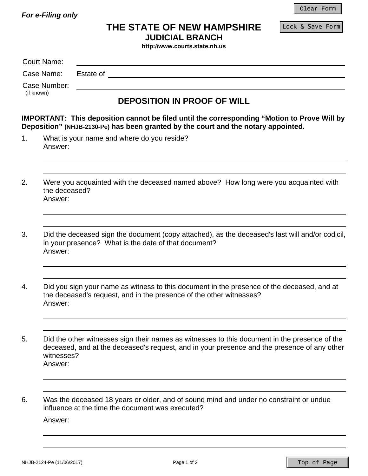*For e-Filing only* 

Lock & Save Form

## **THE STATE OF NEW HAMPSHIRE**

**JUDICIAL BRANCH** 

**http://www.courts.state.nh.us**

|                            | <b>Court Name:</b>       |                                                                                                                                                                                                                               |  |  |
|----------------------------|--------------------------|-------------------------------------------------------------------------------------------------------------------------------------------------------------------------------------------------------------------------------|--|--|
| Case Name:                 |                          | Estate of the contract of the contract of the contract of the contract of the contract of the contract of the contract of the contract of the contract of the contract of the contract of the contract of the contract of the |  |  |
| Case Number:<br>(if known) |                          |                                                                                                                                                                                                                               |  |  |
|                            |                          | <b>DEPOSITION IN PROOF OF WILL</b>                                                                                                                                                                                            |  |  |
|                            |                          | <b>IMPORTANT:</b> This deposition cannot be filed until the corresponding "Motion to Prove Will by<br>Deposition" (NHJB-2130-Pe) has been granted by the court and the notary appointed.                                      |  |  |
| 1 <sub>1</sub>             | Answer:                  | What is your name and where do you reside?                                                                                                                                                                                    |  |  |
| 2.                         | the deceased?<br>Answer: | Were you acquainted with the deceased named above? How long were you acquainted with                                                                                                                                          |  |  |
| 3.                         | Answer:                  | Did the deceased sign the document (copy attached), as the deceased's last will and/or codicil,<br>in your presence? What is the date of that document?                                                                       |  |  |
| 4.                         | Answer:                  | Did you sign your name as witness to this document in the presence of the deceased, and at<br>the deceased's request, and in the presence of the other witnesses?                                                             |  |  |
| 5.                         | witnesses?<br>Answer:    | Did the other witnesses sign their names as witnesses to this document in the presence of the<br>deceased, and at the deceased's request, and in your presence and the presence of any other                                  |  |  |
| 6.                         | Answer:                  | Was the deceased 18 years or older, and of sound mind and under no constraint or undue<br>influence at the time the document was executed?                                                                                    |  |  |